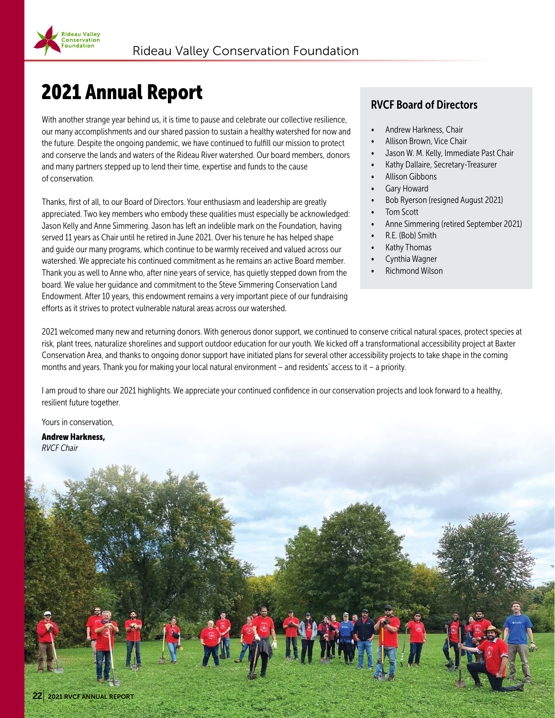## 2021 Annual Report

**Rideau Valley** ................<br>Conservation<br>Foundation

With another strange year behind us, it is time to pause and celebrate our collective resilience, our many accomplishments and our shared passion to sustain a healthy watershed for now and the future. Despite the ongoing pandemic, we have continued to fulfill our mission to protect and conserve the lands and waters of the Rideau River watershed. Our board members, donors and many partners stepped up to lend their time, expertise and funds to the cause of conservation.

Thanks, first of all, to our Board of Directors. Your enthusiasm and leadership are greatly appreciated. Two key members who embody these qualities must especially be acknowledged: Jason Kelly and Anne Simmering. Jason has left an indelible mark on the Foundation, having served 11 years as Chair until he retired in June 2021. Over his tenure he has helped shape and guide our many programs, which continue to be warmly received and valued across our watershed. We appreciate his continued commitment as he remains an active Board member. Thank you as well to Anne who, after nine years of service, has quietly stepped down from the board. We value her guidance and commitment to the Steve Simmering Conservation Land Endowment. After 10 years, this endowment remains a very important piece of our fundraising efforts as it strives to protect vulnerable natural areas across our watershed.

#### RVCF Board of Directors

- Andrew Harkness, Chair
- Allison Brown, Vice Chair
- Jason W. M. Kelly, Immediate Past Chair
- Kathy Dallaire, Secretary-Treasurer
- Allison Gibbons
- Gary Howard
- Bob Ryerson (resigned August 2021)
- **Tom Scott**
- Anne Simmering (retired September 2021)
- R.E. (Bob) Smith
- Kathy Thomas
- Cynthia Wagner
- Richmond Wilson

2021 welcomed many new and returning donors. With generous donor support, we continued to conserve critical natural spaces, protect species at risk, plant trees, naturalize shorelines and support outdoor education for our youth. We kicked off a transformational accessibility project at Baxter Conservation Area, and thanks to ongoing donor support have initiated plans for several other accessibility projects to take shape in the coming months and years. Thank you for making your local natural environment – and residents' access to it – a priority.

I am proud to share our 2021 highlights. We appreciate your continued confidence in our conservation projects and look forward to a healthy, resilient future together.

Yours in conservation,

Andrew Harkness, *RVCF Chair*